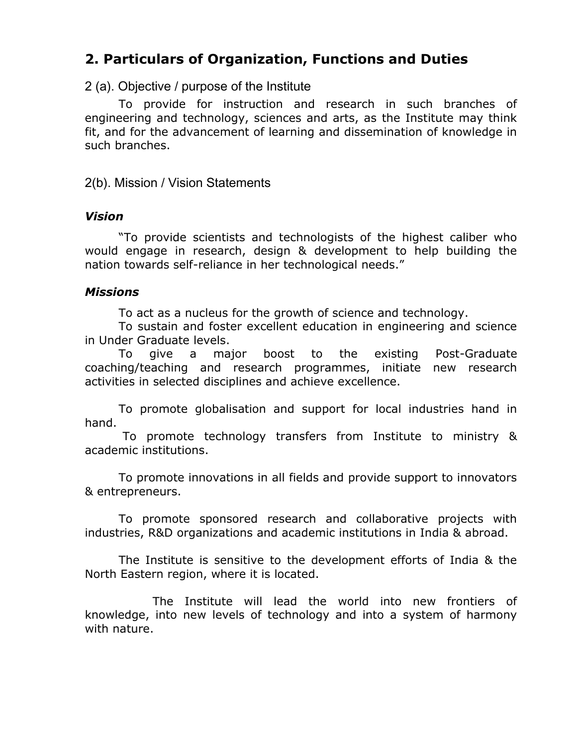# **2. Particulars of Organization, Functions and Duties**

### 2 (a). Objective / purpose of the Institute

To provide for instruction and research in such branches of engineering and technology, sciences and arts, as the Institute may think fit, and for the advancement of learning and dissemination of knowledge in such branches.

2(b). Mission / Vision Statements

#### *Vision*

"To provide scientists and technologists of the highest caliber who would engage in research, design & development to help building the nation towards self-reliance in her technological needs."

## *Missions*

To act as a nucleus for the growth of science and technology.

To sustain and foster excellent education in engineering and science in Under Graduate levels.

To give a major boost to the existing Post-Graduate coaching/teaching and research programmes, initiate new research activities in selected disciplines and achieve excellence.

To promote globalisation and support for local industries hand in hand.

To promote technology transfers from Institute to ministry & academic institutions.

To promote innovations in all fields and provide support to innovators & entrepreneurs.

To promote sponsored research and collaborative projects with industries, R&D organizations and academic institutions in India & abroad.

The Institute is sensitive to the development efforts of India & the North Eastern region, where it is located.

The Institute will lead the world into new frontiers of knowledge, into new levels of technology and into a system of harmony with nature.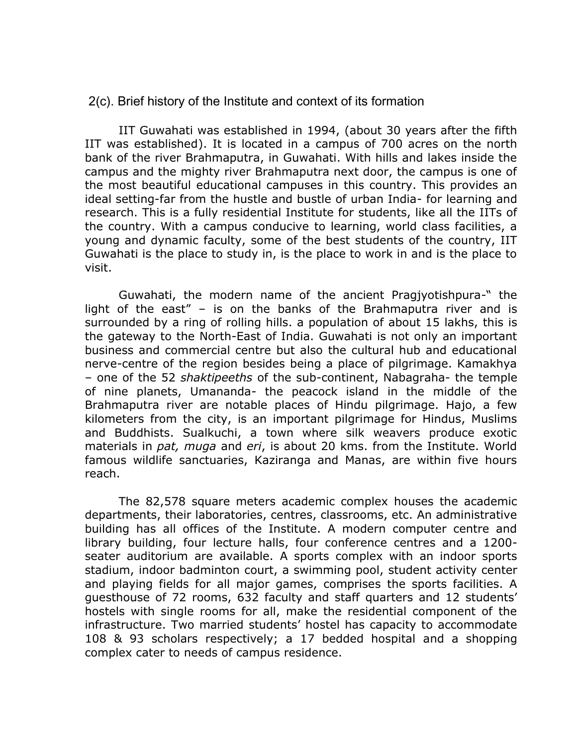#### 2(c). Brief history of the Institute and context of its formation

IIT Guwahati was established in 1994, (about 30 years after the fifth IIT was established). It is located in a campus of 700 acres on the north bank of the river Brahmaputra, in Guwahati. With hills and lakes inside the campus and the mighty river Brahmaputra next door, the campus is one of the most beautiful educational campuses in this country. This provides an ideal setting-far from the hustle and bustle of urban India- for learning and research. This is a fully residential Institute for students, like all the IITs of the country. With a campus conducive to learning, world class facilities, a young and dynamic faculty, some of the best students of the country, IIT Guwahati is the place to study in, is the place to work in and is the place to visit.

Guwahati, the modern name of the ancient Pragjyotishpura-" the light of the east" – is on the banks of the Brahmaputra river and is surrounded by a ring of rolling hills. a population of about 15 lakhs, this is the gateway to the North-East of India. Guwahati is not only an important business and commercial centre but also the cultural hub and educational nerve-centre of the region besides being a place of pilgrimage. Kamakhya – one of the 52 *shaktipeeths* of the sub-continent, Nabagraha- the temple of nine planets, Umananda- the peacock island in the middle of the Brahmaputra river are notable places of Hindu pilgrimage. Hajo, a few kilometers from the city, is an important pilgrimage for Hindus, Muslims and Buddhists. Sualkuchi, a town where silk weavers produce exotic materials in *pat, muga* and *eri*, is about 20 kms. from the Institute. World famous wildlife sanctuaries, Kaziranga and Manas, are within five hours reach.

The 82,578 square meters academic complex houses the academic departments, their laboratories, centres, classrooms, etc. An administrative building has all offices of the Institute. A modern computer centre and library building, four lecture halls, four conference centres and a 1200 seater auditorium are available. A sports complex with an indoor sports stadium, indoor badminton court, a swimming pool, student activity center and playing fields for all major games, comprises the sports facilities. A guesthouse of 72 rooms, 632 faculty and staff quarters and 12 students' hostels with single rooms for all, make the residential component of the infrastructure. Two married students' hostel has capacity to accommodate 108 & 93 scholars respectively; a 17 bedded hospital and a shopping complex cater to needs of campus residence.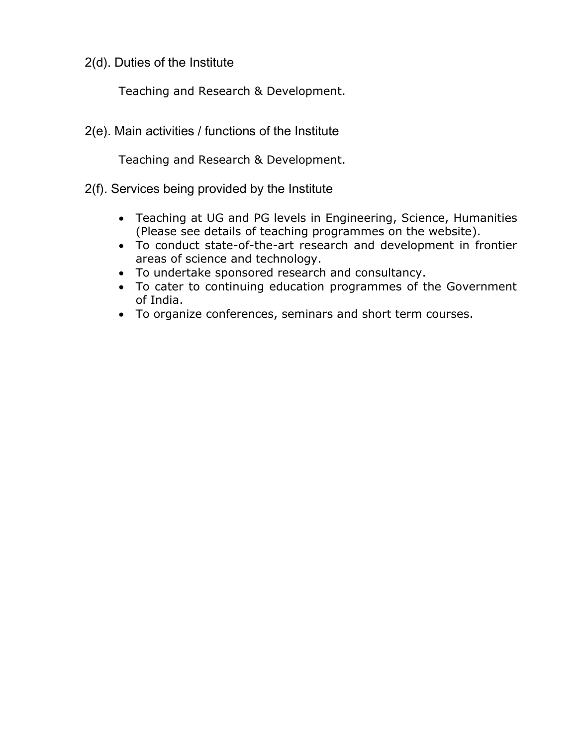2(d). Duties of the Institute

Teaching and Research & Development.

2(e). Main activities / functions of the Institute

Teaching and Research & Development.

- 2(f). Services being provided by the Institute
	- Teaching at UG and PG levels in Engineering, Science, Humanities (Please see details of teaching programmes on the website).
	- To conduct state-of-the-art research and development in frontier areas of science and technology.
	- To undertake sponsored research and consultancy.
	- To cater to continuing education programmes of the Government of India.
	- To organize conferences, seminars and short term courses.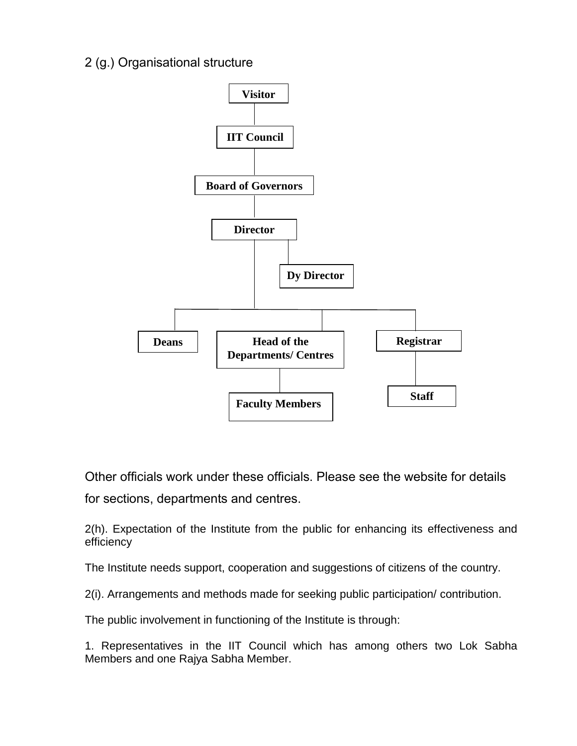# 2 (g.) Organisational structure



Other officials work under these officials. Please see the website for details

for sections, departments and centres.

2(h). Expectation of the Institute from the public for enhancing its effectiveness and efficiency

The Institute needs support, cooperation and suggestions of citizens of the country.

2(i). Arrangements and methods made for seeking public participation/ contribution.

The public involvement in functioning of the Institute is through:

1. Representatives in the IIT Council which has among others two Lok Sabha Members and one Rajya Sabha Member.